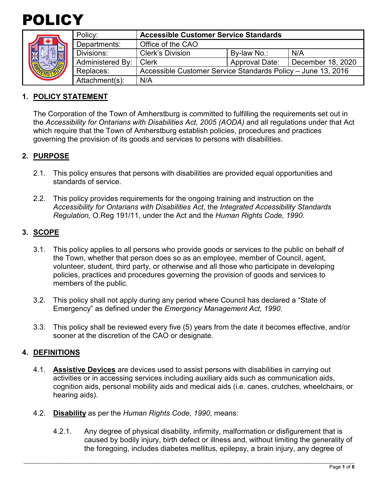



| <b>AVE</b><br>NE | Policy:          | <b>Accessible Customer Service Standards</b>                 |                       |                   |
|------------------|------------------|--------------------------------------------------------------|-----------------------|-------------------|
|                  | Departments:     | Office of the CAO                                            |                       |                   |
|                  | Divisions:       | <b>Clerk's Division</b>                                      | By-law No.:           | N/A               |
|                  | Administered By: | <b>Clerk</b>                                                 | <b>Approval Date:</b> | December 18, 2020 |
|                  | Replaces:        | Accessible Customer Service Standards Policy - June 13, 2016 |                       |                   |
|                  | Attachment(s):   | N/A                                                          |                       |                   |

## **1. POLICY STATEMENT**

The Corporation of the Town of Amherstburg is committed to fulfilling the requirements set out in the *Accessibility for Ontarians with Disabilities Act, 2005 (AODA)* and all regulations under that Act which require that the Town of Amherstburg establish policies, procedures and practices governing the provision of its goods and services to persons with disabilities.

## **2. PURPOSE**

- 2.1. This policy ensures that persons with disabilities are provided equal opportunities and standards of service.
- 2.2. This policy provides requirements for the ongoing training and instruction on the *Accessibility for Ontarians with Disabilities Act*, the *Integrated Accessibility Standards Regulation,* O.Reg 191/11, under the Act and the *Human Rights Code, 1990.*

# **3. SCOPE**

- 3.1. This policy applies to all persons who provide goods or services to the public on behalf of the Town, whether that person does so as an employee, member of Council, agent, volunteer, student, third party, or otherwise and all those who participate in developing policies, practices and procedures governing the provision of goods and services to members of the public.
- 3.2. This policy shall not apply during any period where Council has declared a "State of Emergency" as defined under the *Emergency Management Act, 1990*.
- 3.3. This policy shall be reviewed every five (5) years from the date it becomes effective, and/or sooner at the discretion of the CAO or designate.

### **4. DEFINITIONS**

- 4.1. **Assistive Devices** are devices used to assist persons with disabilities in carrying out activities or in accessing services including auxiliary aids such as communication aids, cognition aids, personal mobility aids and medical aids (i.e. canes, crutches, wheelchairs, or hearing aids).
- 4.2. **Disability** as per the *Human Rights Code, 1990*, means:
	- 4.2.1. Any degree of physical disability, infirmity, malformation or disfigurement that is caused by bodily injury, birth defect or illness and, without limiting the generality of the foregoing, includes diabetes mellitus, epilepsy, a brain injury, any degree of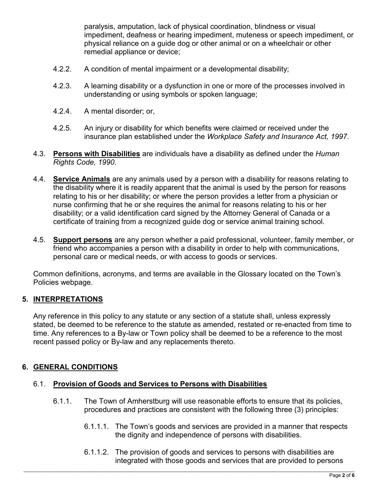paralysis, amputation, lack of physical coordination, blindness or visual impediment, deafness or hearing impediment, muteness or speech impediment, or physical reliance on a guide dog or other animal or on a wheelchair or other remedial appliance or device;

- 4.2.2. A condition of mental impairment or a developmental disability;
- 4.2.3. A learning disability or a dysfunction in one or more of the processes involved in understanding or using symbols or spoken language;
- 4.2.4. A mental disorder; or,
- 4.2.5. An injury or disability for which benefits were claimed or received under the insurance plan established under the *Workplace Safety and Insurance Act, 1997*.
- 4.3. **Persons with Disabilities** are individuals have a disability as defined under the *Human Rights Code, 1990*.
- 4.4. **Service Animals** are any animals used by a person with a disability for reasons relating to the disability where it is readily apparent that the animal is used by the person for reasons relating to his or her disability; or where the person provides a letter from a physician or nurse confirming that he or she requires the animal for reasons relating to his or her disability; or a valid identification card signed by the Attorney General of Canada or a certificate of training from a recognized guide dog or service animal training school.
- 4.5. **Support persons** are any person whether a paid professional, volunteer, family member, or friend who accompanies a person with a disability in order to help with communications, personal care or medical needs, or with access to goods or services.

Common definitions, acronyms, and terms are available in the Glossary located on the Town's Policies webpage.

# **5. INTERPRETATIONS**

Any reference in this policy to any statute or any section of a statute shall, unless expressly stated, be deemed to be reference to the statute as amended, restated or re-enacted from time to time. Any references to a By-law or Town policy shall be deemed to be a reference to the most recent passed policy or By-law and any replacements thereto.

# **6. GENERAL CONDITIONS**

### 6.1. **Provision of Goods and Services to Persons with Disabilities**

- 6.1.1. The Town of Amherstburg will use reasonable efforts to ensure that its policies, procedures and practices are consistent with the following three (3) principles:
	- 6.1.1.1. The Town's goods and services are provided in a manner that respects the dignity and independence of persons with disabilities.
	- 6.1.1.2. The provision of goods and services to persons with disabilities are integrated with those goods and services that are provided to persons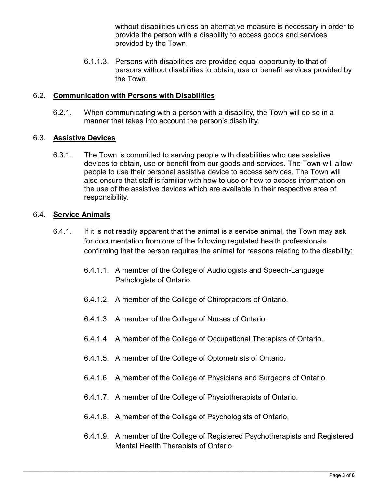without disabilities unless an alternative measure is necessary in order to provide the person with a disability to access goods and services provided by the Town.

6.1.1.3. Persons with disabilities are provided equal opportunity to that of persons without disabilities to obtain, use or benefit services provided by the Town.

## 6.2. **Communication with Persons with Disabilities**

6.2.1. When communicating with a person with a disability, the Town will do so in a manner that takes into account the person's disability.

## 6.3. **Assistive Devices**

6.3.1. The Town is committed to serving people with disabilities who use assistive devices to obtain, use or benefit from our goods and services. The Town will allow people to use their personal assistive device to access services. The Town will also ensure that staff is familiar with how to use or how to access information on the use of the assistive devices which are available in their respective area of responsibility.

## 6.4. **Service Animals**

- 6.4.1. If it is not readily apparent that the animal is a service animal, the Town may ask for documentation from one of the following regulated health professionals confirming that the person requires the animal for reasons relating to the disability:
	- 6.4.1.1. A member of the College of Audiologists and Speech-Language Pathologists of Ontario.
	- 6.4.1.2. A member of the College of Chiropractors of Ontario.
	- 6.4.1.3. A member of the College of Nurses of Ontario.
	- 6.4.1.4. A member of the College of Occupational Therapists of Ontario.
	- 6.4.1.5. A member of the College of Optometrists of Ontario.
	- 6.4.1.6. A member of the College of Physicians and Surgeons of Ontario.
	- 6.4.1.7. A member of the College of Physiotherapists of Ontario.
	- 6.4.1.8. A member of the College of Psychologists of Ontario.
	- 6.4.1.9. A member of the College of Registered Psychotherapists and Registered Mental Health Therapists of Ontario.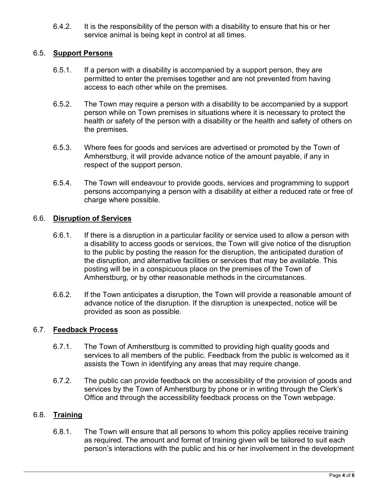6.4.2. It is the responsibility of the person with a disability to ensure that his or her service animal is being kept in control at all times.

## 6.5. **Support Persons**

- 6.5.1. If a person with a disability is accompanied by a support person, they are permitted to enter the premises together and are not prevented from having access to each other while on the premises.
- 6.5.2. The Town may require a person with a disability to be accompanied by a support person while on Town premises in situations where it is necessary to protect the health or safety of the person with a disability or the health and safety of others on the premises.
- 6.5.3. Where fees for goods and services are advertised or promoted by the Town of Amherstburg, it will provide advance notice of the amount payable, if any in respect of the support person.
- 6.5.4. The Town will endeavour to provide goods, services and programming to support persons accompanying a person with a disability at either a reduced rate or free of charge where possible.

## 6.6. **Disruption of Services**

- 6.6.1. If there is a disruption in a particular facility or service used to allow a person with a disability to access goods or services, the Town will give notice of the disruption to the public by posting the reason for the disruption, the anticipated duration of the disruption, and alternative facilities or services that may be available. This posting will be in a conspicuous place on the premises of the Town of Amherstburg, or by other reasonable methods in the circumstances.
- 6.6.2. If the Town anticipates a disruption, the Town will provide a reasonable amount of advance notice of the disruption. If the disruption is unexpected, notice will be provided as soon as possible.

### 6.7. **Feedback Process**

- 6.7.1. The Town of Amherstburg is committed to providing high quality goods and services to all members of the public. Feedback from the public is welcomed as it assists the Town in identifying any areas that may require change.
- 6.7.2. The public can provide feedback on the accessibility of the provision of goods and services by the Town of Amherstburg by phone or in writing through the Clerk's Office and through the accessibility feedback process on the Town webpage.

### 6.8. **Training**

6.8.1. The Town will ensure that all persons to whom this policy applies receive training as required. The amount and format of training given will be tailored to suit each person's interactions with the public and his or her involvement in the development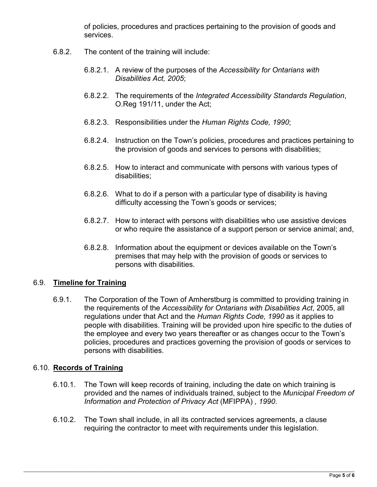of policies, procedures and practices pertaining to the provision of goods and services.

- 6.8.2. The content of the training will include:
	- 6.8.2.1. A review of the purposes of the *Accessibility for Ontarians with Disabilities Act, 2005*;
	- 6.8.2.2. The requirements of the *Integrated Accessibility Standards Regulation*, O.Reg 191/11, under the Act;
	- 6.8.2.3. Responsibilities under the *Human Rights Code, 1990*;
	- 6.8.2.4. Instruction on the Town's policies, procedures and practices pertaining to the provision of goods and services to persons with disabilities;
	- 6.8.2.5. How to interact and communicate with persons with various types of disabilities;
	- 6.8.2.6. What to do if a person with a particular type of disability is having difficulty accessing the Town's goods or services;
	- 6.8.2.7. How to interact with persons with disabilities who use assistive devices or who require the assistance of a support person or service animal; and,
	- 6.8.2.8. Information about the equipment or devices available on the Town's premises that may help with the provision of goods or services to persons with disabilities.

### 6.9. **Timeline for Training**

6.9.1. The Corporation of the Town of Amherstburg is committed to providing training in the requirements of the *Accessibility for Ontarians with Disabilities Act*, 2005, all regulations under that Act and the *Human Rights Code, 1990* as it applies to people with disabilities. Training will be provided upon hire specific to the duties of the employee and every two years thereafter or as changes occur to the Town's policies, procedures and practices governing the provision of goods or services to persons with disabilities.

# 6.10. **Records of Training**

- 6.10.1. The Town will keep records of training, including the date on which training is provided and the names of individuals trained, subject to the *Municipal Freedom of Information and Protection of Privacy Act* (MFIPPA) *, 1990*.
- 6.10.2. The Town shall include, in all its contracted services agreements, a clause requiring the contractor to meet with requirements under this legislation.